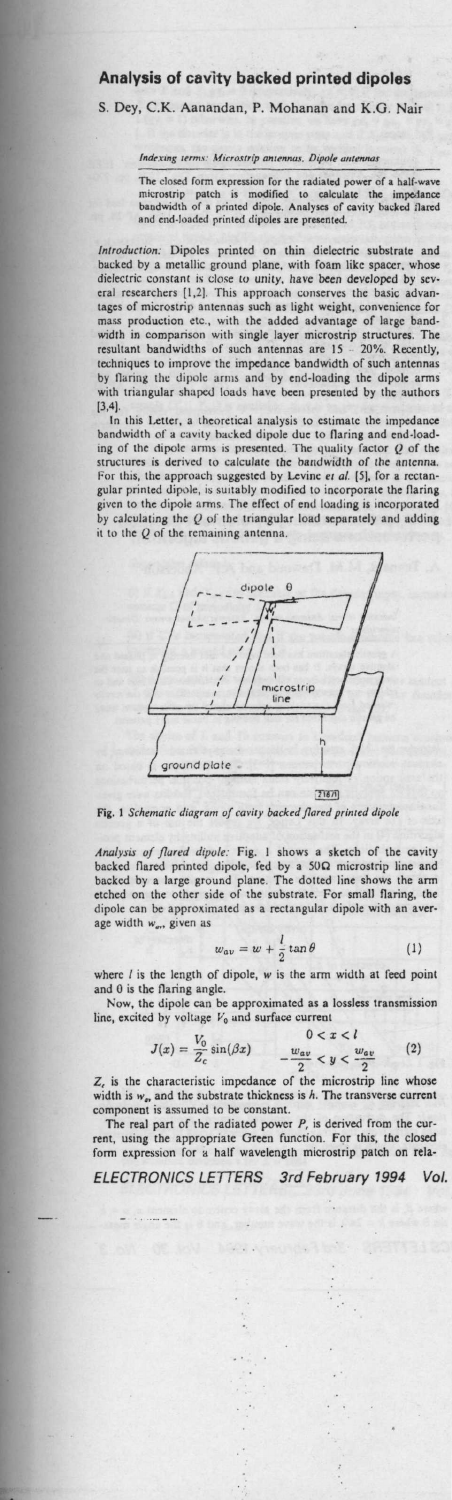## **Analysis of** cavity **backed printed dipoles**

S. Dey, C.K. Aanandan, P. Mohanan and K.G. Nair

## Indexing terms: Microstrip antennas. Dipole anten

The closed **form expression for the radiated** power **of a half-wave microstrip patch is modified to calculate the impedance** bandwidth of a printed dipole. **Analyses of cavity backed flared** and end-loaded printed **dipoles are presented,**

Introduction: Dipoles printed on thin dielectric substrate and<br>backed by a netallic ground plane, with foam like spacer, whose<br>dielectric constant is close to unity, have been developed by sev-<br>eral researchers [1,2]. This techniques to improve the impedance bandwidth of such antennas by Ilanng the dipole arms and by end-loading **the dipole arms with triangular** shaped loads have **been presented** by the authors  $[3,4]$ .<br>In

this Letter, a theoretical analysis to estimate the impedance bandwidth of a cavity hacked dipole due to **flaring and end-load-**ing of the dipole arms is presented. The quality factor Q of the structures is derived to **calculate the** bandwidth of **the antenna.** For this, the approach **suggested** by Levine *et al.* (5), for a rectan-gular printed dipole, is suitably modified to incorporate **the flaring** given to the dipole arms The effect of **end loading is incorporated** by calculating the Q of the triangular **load separately and adding** it to the Q of the remaining **antenna.**





Analysis of flared dipole: Fig. 1 shows a sketch of the cavity<br>backed flared printed dipole, fed by a 50Ω microstrip line and<br>backed by a large ground plane. The dotted line shows the arm etched on the other side of the substrate. For small flaring, the dipole can be approximated **as a rectangular dipole with an aver**age width w<sub>on</sub> given as

$$
w_{av} = w + \frac{l}{2} \tan \theta \tag{1}
$$

where *l* is the length of dipole, *w* is the arm width at feed point and 0 is the flaring angle.

Now, the dipole can be approximated as a lossless transmission<br>line, excited by voltage  $V_0$  and surface current<br> $0 < x < l$ <br> $I(x) = \frac{V_0 \sin(\beta x)}{l(x)}$  (2)

$$
J(x) = \frac{V_0}{Z} \sin(\beta x) \qquad \begin{array}{c} 0 < x < l \\ w_{av} < u < \frac{w_{av}}{l} \end{array} \tag{2}
$$

 $J(x) = \frac{V_0}{Z_c} \sin(\beta x)$   $0 < x < l$ <br>  $-\frac{w_{av}}{2} < y < \frac{w_{av}}{2}$  (2)<br>  $Z_c$  is the characteristic impedance of the microstrip line whose<br>
width is  $w_w$  and the substrate thickness is h. The transverse current<br>
component is assume

rent, using the appropriate Green function. For this, the closed form expression for a half wavelength microstrip patch on rela-

*ELECTRONICS LETTERS 3rd February* 1994 *Vol.*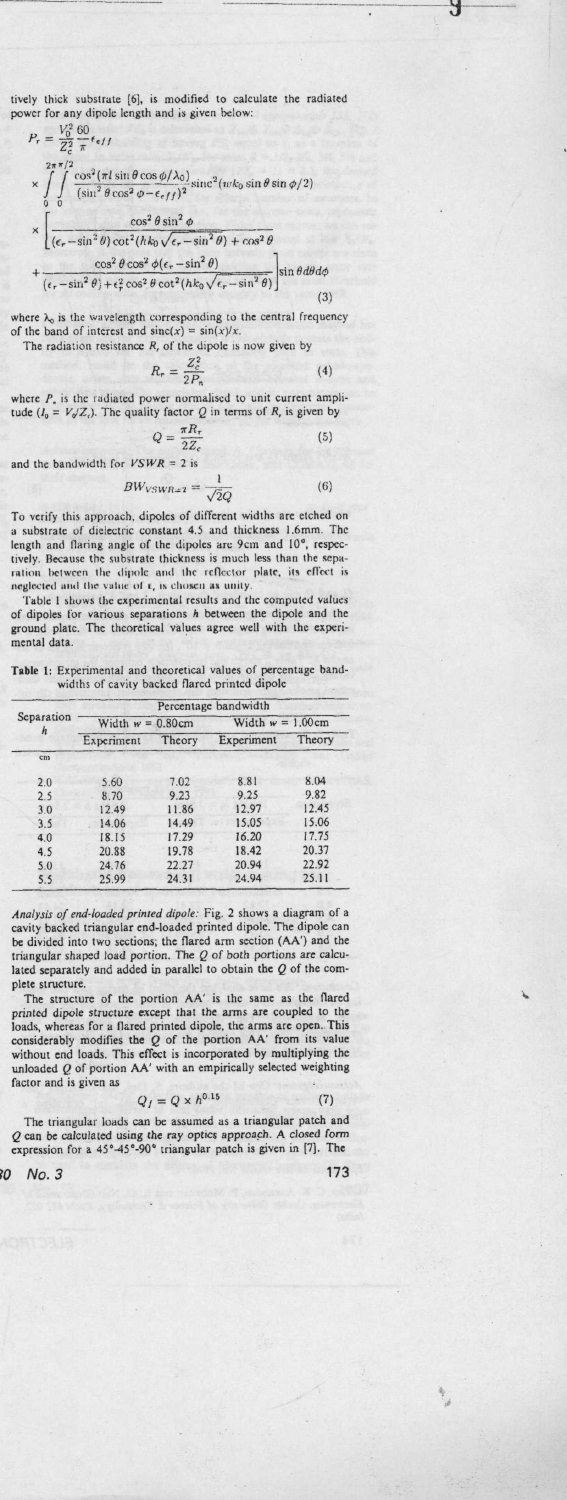tively thick substrate [6], is modified to calculate the radiated power for any dipole length and is given below:  $1/2$ 

J

and the bandwidth for

$$
\tau = \frac{v_0}{Z_c^2} \frac{\cos^2(\pi l \sin \theta \cos \phi/\lambda_0)}{\sin^2 \theta \cos^2 \phi - \epsilon_{eff})^2} \sin \theta \sin \phi \sin \phi/2
$$
\n
$$
\times \int_{0}^{2\pi \pi/2} \frac{\cos^2(\pi l \sin \theta \cos \phi/\lambda_0)}{(\sin^2 \theta \cos^2 \phi - \epsilon_{eff})^2} \sin \theta \sin \phi \sin \phi/2
$$
\n
$$
\times \left[ \frac{\cos^2 \theta \sin^2 \phi}{(\epsilon_r - \sin^2 \theta) \cot^2(hk_0\sqrt{\epsilon_r - \sin^2 \theta}) + \cos^2 \theta} + \frac{\cos^2 \theta \cos^2 \phi (\epsilon_r - \sin^2 \theta)}{(\epsilon_r - \sin^2 \theta) + \epsilon_r^2 \cos^2 \theta \cot^2(hk_0\sqrt{\epsilon_r - \sin^2 \theta})} \right] \sin \theta d\theta d\phi
$$

where  $\lambda_0$  is the wavelength corresponding to the central frequency<br>of the band of interest and  $\operatorname{sinc}(x) = \sin(x)/x$ . The radiation resistance  $R$ , of the dipole is now given by

$$
R_r = \frac{Z_c^2}{2P_n} \tag{4}
$$

Y

where  $P_n$  is the radiated power normalised to unit current amplitude  $(I_0 = V_0/Z_c)$ . The quality factor Q in terms of R, is given by

$$
Q = \frac{\pi R_r}{2Z_c}
$$
 (5)  
\n
$$
VSWR = 2 \text{ is}
$$
  
\n
$$
3W_{VSWR = 2} = \frac{1}{\sqrt{2}Q}
$$
 (6)

To verify this approach, dipoles of different widths are etched on To very substrate of dielectric constant 4.5 and thickness 1.6mm. The<br>length and flaring angle of the dipoles are 9cm and 10°, respeceight and may may the substrate thickness is much less than the separation between the dipole and the reflector plate, its effect is neglected and the value of  $x$ , is chosen as unity.

Table I shows the experimental results and the computed values of dipoles for various separations h between the dipole and the ground plate. The theoretical values agree well with the experimental data.

Table 1: Experimental and theoretical values of percentage bandwidths of cavity backed flared printed dipole

|            | Percentage bandwidth                       |        |            |        |  |
|------------|--------------------------------------------|--------|------------|--------|--|
| Separation | Width $w = 1.00$ cm<br>Width $w = 0.80$ cm |        |            |        |  |
| $\hbar$    | Experiment                                 | Theory | Experiment | Theory |  |
| cm         |                                            |        |            |        |  |
| 2.0        | 5.60                                       | 7.02   | 8.81       | 8.04   |  |
| 2.5        | 8.70                                       | 9.23   | 9.25       | 9.82   |  |
| 3.0        | 12.49                                      | 11.86  | 12.97      | 12.45  |  |
| 3.5        | 14.06                                      | 14.49  | 15.05      | 15.06  |  |
| 4.0        | 18.15                                      | 17.29  | 16.20      | 17.75  |  |
| 4.5        | 20.88                                      | 19.78  | 18.42      | 20.37  |  |
| 5.0        | 24.76                                      | 22.27  | 20.94      | 22.92  |  |
| 5.5        | 25.99                                      | 24.31  | 24.94      | 25.11  |  |

Analysis of end-loaded printed dipole: Fig. 2 shows a diagram of a<br>cavity backed triangular end-loaded printed dipole. The dipole can Let  $\alpha$  be divided into two sections; the flared arm section (AA) and the triangular shaped load portion. The Q of both portions are calculated. lated separately and added in parallel to obtain the  $Q$  of the complete structure.

plete structure.<br>The structure of the portion AA' is the same as the flared dipole structure except that the arms are coupled to the printed dipole, the arms are open. This longitude, by modifies the  $Q$  of the portion AA factor and is given as

$$
Q_I = Q \times h^{0.15} \tag{7}
$$

The triangular loads can be assumed as a triangular patch and 2 can be calculated using the ray optics approach. A closed form<br>expression for a 45°-45°-90° triangular patch is given in [7]. The

ò,  $No.3$  173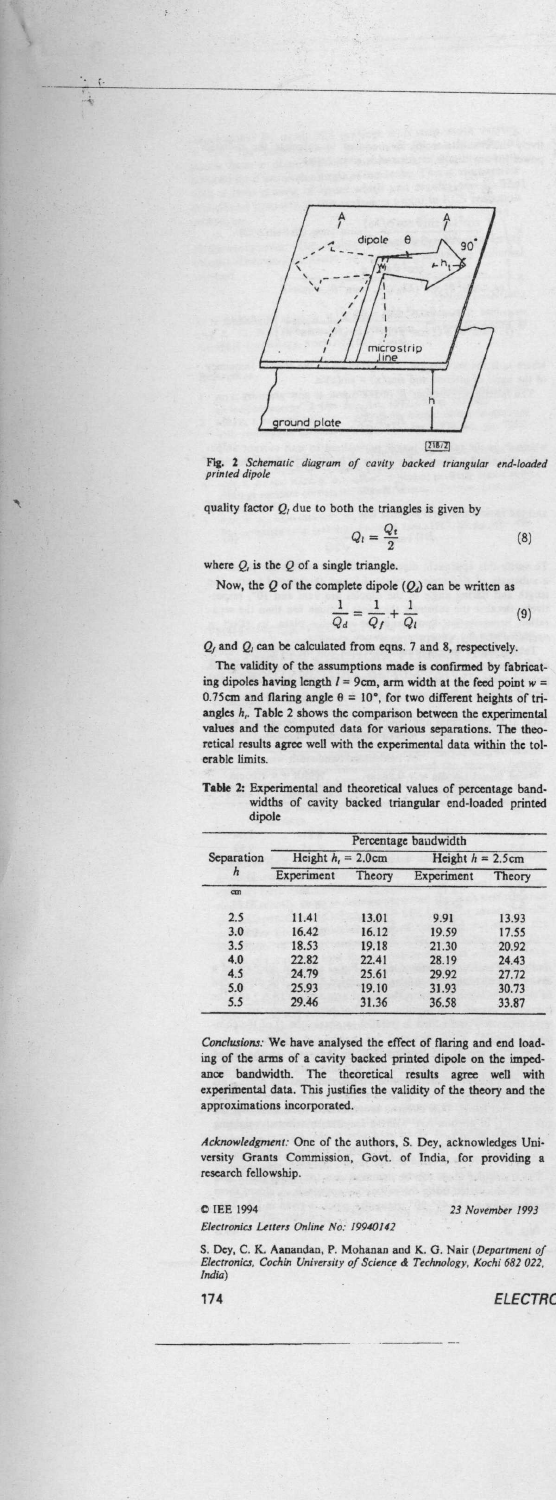

**Fig. 2 Schematic** diagram of cavity backed **triangular** end-loaded printed dipole

quality factor 
$$
Q_i
$$
 due to both the triangles is given by  
\n
$$
Q_i = \frac{Q_i}{2}
$$
\n(8)

**where Q, is the Q of a single triangle.**

â

**Now, the Q of the complete dipole (Q`) can be written as**

$$
\frac{1}{Q_d} = \frac{1}{Q_f} + \frac{1}{Q_t} \tag{9}
$$

*Qf* and Q, can be calculated from eqns. 7 and 8, respectively.

The validity of the assumptions **made** is confirmed by fabricating dipoles having length  $l = 9$ cm, arm width at the feed point  $w = 0.75$ cm and flaring angle  $\theta = 10^{\circ}$ , for two different heights of triangles  $h_t$ . Table 2 shows the comparison between the experimental **values and** the computed data for various separations. The theoretical results agree well with the **experimental** data within the tolerable limits.

**Table** 2: Experimental and theoretical values of percentage band-widths of cavity **backed triangular** end-loaded printed dipole

| Separation<br>h | Percentage bandwidth         |        |                     |        |  |
|-----------------|------------------------------|--------|---------------------|--------|--|
|                 | Height $h_i = 2.0 \text{cm}$ |        | Height $h = 2.5$ cm |        |  |
|                 | Experiment                   | Theory | Experiment          | Theory |  |
| $cm$            |                              |        |                     |        |  |
| 2.5             | 11.41                        | 13.01  | 9.91                | 13.93  |  |
| 3.0             | 16.42                        | 16.12  | 19.59               | 17.55  |  |
| 3.5             | 18.53                        | 19.18  | 21.30               | 20.92  |  |
| 4.0             | 22.82                        | 22.41  | 28.19               | 24.43  |  |
| 4.5             | 24.79                        | 25.61  | 29.92               | 27.72  |  |
| 5.0             | 25.93                        | 19.10  | 31.93               | 30.73  |  |
| 5.5             | 29.46                        | 31.36  | 36.58               | 33.87  |  |

*Conclusions:* We have analysed the effect of flaring and end loading of the arms of a cavity backed printed dipole on the imped-ance bandwidth. The theoretical **results agree well with** ance bandwidth. The theoretical results agree well with experimental data. This justifies the validity of the theory and the **approximations** incorporated.

*Acknrowledgment:* **One of the authors, S** . **Dey, acknowledges Uni-versity Grants Commission** , Govt. of **India, for providing a research fellowship.**

C tEE 1994 23 November 1993

Electronics Letters Online No. 19940142

S. Dey, C. K. Aanandan, P. Mohanan and K. G. Nair *(Department of Electronics,* Cochin *University of* Science & *Technology,* Kochi *682 022, India)*

174 ELECTRC